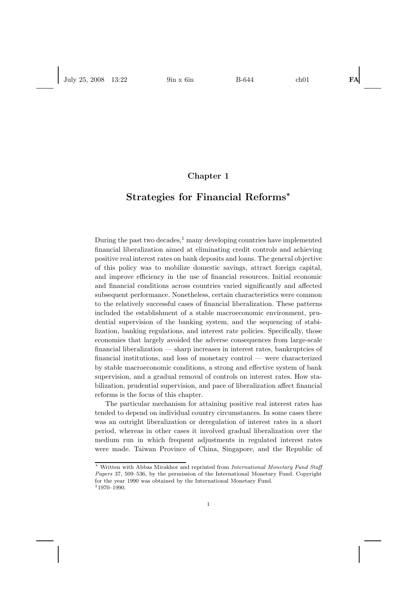# **Chapter 1**

# **Strategies for Financial Reforms***<sup>∗</sup>*

During the past two decades, $<sup>1</sup>$  many developing countries have implemented</sup> financial liberalization aimed at eliminating credit controls and achieving positive real interest rates on bank deposits and loans. The general objective of this policy was to mobilize domestic savings, attract foreign capital, and improve efficiency in the use of financial resources. Initial economic and financial conditions across countries varied significantly and affected subsequent performance. Nonetheless, certain characteristics were common to the relatively successful cases of financial liberalization. These patterns included the establishment of a stable macroeconomic environment, prudential supervision of the banking system, and the sequencing of stabilization, banking regulations, and interest rate policies. Specifically, those economies that largely avoided the adverse consequences from large-scale financial liberalization — sharp increases in interest rates, bankruptcies of financial institutions, and loss of monetary control — were characterized by stable macroeconomic conditions, a strong and effective system of bank supervision, and a gradual removal of controls on interest rates. How stabilization, prudential supervision, and pace of liberalization affect financial reforms is the focus of this chapter.

The particular mechanism for attaining positive real interest rates has tended to depend on individual country circumstances. In some cases there was an outright liberalization or deregulation of interest rates in a short period, whereas in other cases it involved gradual liberalization over the medium run in which frequent adjustments in regulated interest rates were made. Taiwan Province of China, Singapore, and the Republic of

<sup>∗</sup> Written with Abbas Mirakhor and reprinted from International Monetary Fund Staff Papers 37, 509–536, by the permission of the International Monetary Fund. Copyright for the year 1990 was obtained by the International Monetary Fund.  $11970 - 1990.$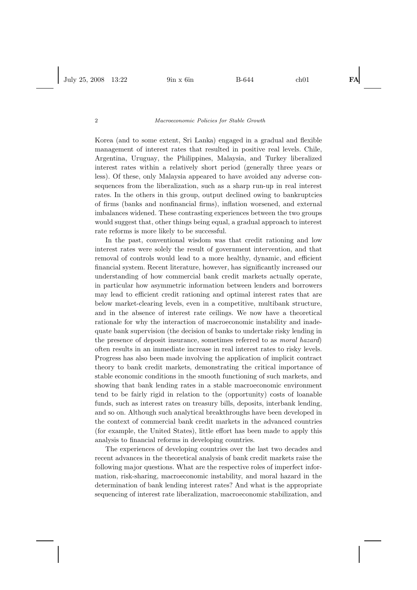Korea (and to some extent, Sri Lanka) engaged in a gradual and flexible management of interest rates that resulted in positive real levels. Chile, Argentina, Uruguay, the Philippines, Malaysia, and Turkey liberalized interest rates within a relatively short period (generally three years or less). Of these, only Malaysia appeared to have avoided any adverse consequences from the liberalization, such as a sharp run-up in real interest rates. In the others in this group, output declined owing to bankruptcies of firms (banks and nonfinancial firms), inflation worsened, and external imbalances widened. These contrasting experiences between the two groups would suggest that, other things being equal, a gradual approach to interest rate reforms is more likely to be successful.

In the past, conventional wisdom was that credit rationing and low interest rates were solely the result of government intervention, and that removal of controls would lead to a more healthy, dynamic, and efficient financial system. Recent literature, however, has significantly increased our understanding of how commercial bank credit markets actually operate, in particular how asymmetric information between lenders and borrowers may lead to efficient credit rationing and optimal interest rates that are below market-clearing levels, even in a competitive, multibank structure, and in the absence of interest rate ceilings. We now have a theoretical rationale for why the interaction of macroeconomic instability and inadequate bank supervision (the decision of banks to undertake risky lending in the presence of deposit insurance, sometimes referred to as *moral hazard*) often results in an immediate increase in real interest rates to risky levels. Progress has also been made involving the application of implicit contract theory to bank credit markets, demonstrating the critical importance of stable economic conditions in the smooth functioning of such markets, and showing that bank lending rates in a stable macroeconomic environment tend to be fairly rigid in relation to the (opportunity) costs of loanable funds, such as interest rates on treasury bills, deposits, interbank lending, and so on. Although such analytical breakthroughs have been developed in the context of commercial bank credit markets in the advanced countries (for example, the United States), little effort has been made to apply this analysis to financial reforms in developing countries.

The experiences of developing countries over the last two decades and recent advances in the theoretical analysis of bank credit markets raise the following major questions. What are the respective roles of imperfect information, risk-sharing, macroeconomic instability, and moral hazard in the determination of bank lending interest rates? And what is the appropriate sequencing of interest rate liberalization, macroeconomic stabilization, and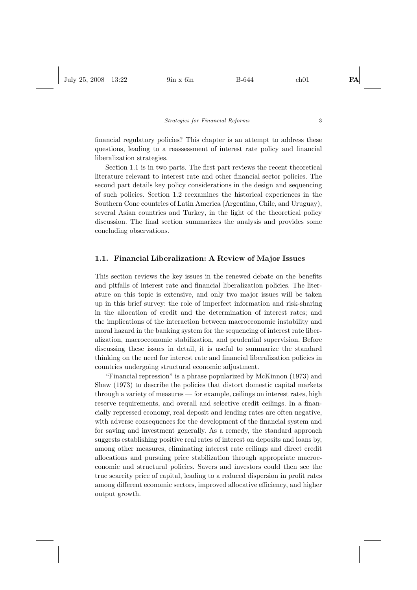financial regulatory policies? This chapter is an attempt to address these questions, leading to a reassessment of interest rate policy and financial liberalization strategies.

Section 1.1 is in two parts. The first part reviews the recent theoretical literature relevant to interest rate and other financial sector policies. The second part details key policy considerations in the design and sequencing of such policies. Section 1.2 reexamines the historical experiences in the Southern Cone countries of Latin America (Argentina, Chile, and Uruguay), several Asian countries and Turkey, in the light of the theoretical policy discussion. The final section summarizes the analysis and provides some concluding observations.

# **1.1. Financial Liberalization: A Review of Major Issues**

This section reviews the key issues in the renewed debate on the benefits and pitfalls of interest rate and financial liberalization policies. The literature on this topic is extensive, and only two major issues will be taken up in this brief survey: the role of imperfect information and risk-sharing in the allocation of credit and the determination of interest rates; and the implications of the interaction between macroeconomic instability and moral hazard in the banking system for the sequencing of interest rate liberalization, macroeconomic stabilization, and prudential supervision. Before discussing these issues in detail, it is useful to summarize the standard thinking on the need for interest rate and financial liberalization policies in countries undergoing structural economic adjustment.

"Financial repression" is a phrase popularized by McKinnon (1973) and Shaw (1973) to describe the policies that distort domestic capital markets through a variety of measures — for example, ceilings on interest rates, high reserve requirements, and overall and selective credit ceilings. In a financially repressed economy, real deposit and lending rates are often negative, with adverse consequences for the development of the financial system and for saving and investment generally. As a remedy, the standard approach suggests establishing positive real rates of interest on deposits and loans by, among other measures, eliminating interest rate ceilings and direct credit allocations and pursuing price stabilization through appropriate macroeconomic and structural policies. Savers and investors could then see the true scarcity price of capital, leading to a reduced dispersion in profit rates among different economic sectors, improved allocative efficiency, and higher output growth.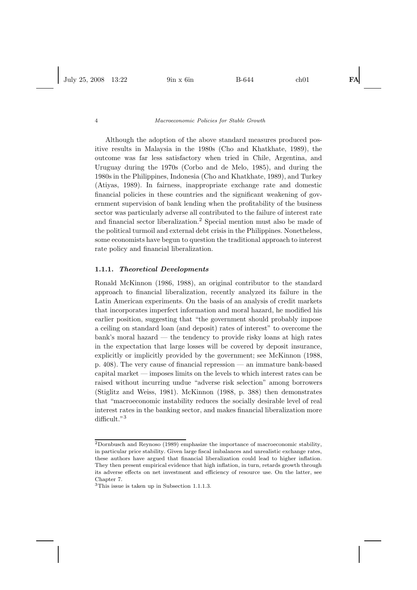Although the adoption of the above standard measures produced positive results in Malaysia in the 1980s (Cho and Khatkhate, 1989), the outcome was far less satisfactory when tried in Chile, Argentina, and Uruguay during the 1970s (Corbo and de Melo, 1985), and during the 1980s in the Philippines, Indonesia (Cho and Khatkhate, 1989), and Turkey (Atiyas, 1989). In fairness, inappropriate exchange rate and domestic financial policies in these countries and the significant weakening of government supervision of bank lending when the profitability of the business sector was particularly adverse all contributed to the failure of interest rate and financial sector liberalization.<sup>2</sup> Special mention must also be made of the political turmoil and external debt crisis in the Philippines. Nonetheless, some economists have begun to question the traditional approach to interest rate policy and financial liberalization.

#### **1.1.1.** *Theoretical Developments*

Ronald McKinnon (1986, 1988), an original contributor to the standard approach to financial liberalization, recently analyzed its failure in the Latin American experiments. On the basis of an analysis of credit markets that incorporates imperfect information and moral hazard, he modified his earlier position, suggesting that "the government should probably impose a ceiling on standard loan (and deposit) rates of interest" to overcome the bank's moral hazard — the tendency to provide risky loans at high rates in the expectation that large losses will be covered by deposit insurance, explicitly or implicitly provided by the government; see McKinnon (1988, p. 408). The very cause of financial repression — an immature bank-based capital market — imposes limits on the levels to which interest rates can be raised without incurring undue "adverse risk selection" among borrowers (Stiglitz and Weiss, 1981). McKinnon (1988, p. 388) then demonstrates that "macroeconomic instability reduces the socially desirable level of real interest rates in the banking sector, and makes financial liberalization more difficult."<sup>3</sup>

<sup>2</sup>Dornbusch and Reynoso (1989) emphasize the importance of macroeconomic stability, in particular price stability. Given large fiscal imbalances and unrealistic exchange rates, these authors have argued that financial liberalization could lead to higher inflation. They then present empirical evidence that high inflation, in turn, retards growth through its adverse effects on net investment and efficiency of resource use. On the latter, see Chapter 7.

<sup>3</sup>This issue is taken up in Subsection 1.1.1.3.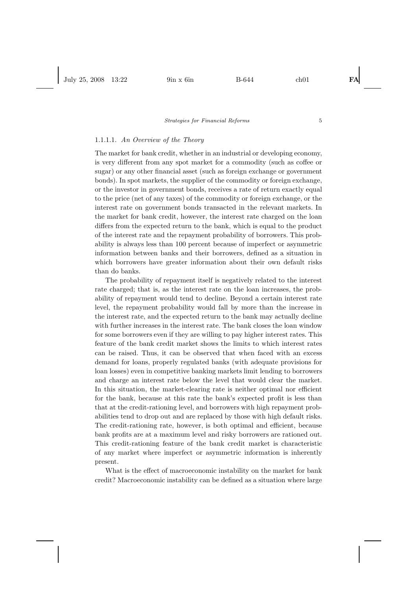# 1.1.1.1. *An Overview of the Theory*

The market for bank credit, whether in an industrial or developing economy, is very different from any spot market for a commodity (such as coffee or sugar) or any other financial asset (such as foreign exchange or government bonds). In spot markets, the supplier of the commodity or foreign exchange, or the investor in government bonds, receives a rate of return exactly equal to the price (net of any taxes) of the commodity or foreign exchange, or the interest rate on government bonds transacted in the relevant markets. In the market for bank credit, however, the interest rate charged on the loan differs from the expected return to the bank, which is equal to the product of the interest rate and the repayment probability of borrowers. This probability is always less than 100 percent because of imperfect or asymmetric information between banks and their borrowers, defined as a situation in which borrowers have greater information about their own default risks than do banks.

The probability of repayment itself is negatively related to the interest rate charged; that is, as the interest rate on the loan increases, the probability of repayment would tend to decline. Beyond a certain interest rate level, the repayment probability would fall by more than the increase in the interest rate, and the expected return to the bank may actually decline with further increases in the interest rate. The bank closes the loan window for some borrowers even if they are willing to pay higher interest rates. This feature of the bank credit market shows the limits to which interest rates can be raised. Thus, it can be observed that when faced with an excess demand for loans, properly regulated banks (with adequate provisions for loan losses) even in competitive banking markets limit lending to borrowers and charge an interest rate below the level that would clear the market. In this situation, the market-clearing rate is neither optimal nor efficient for the bank, because at this rate the bank's expected profit is less than that at the credit-rationing level, and borrowers with high repayment probabilities tend to drop out and are replaced by those with high default risks. The credit-rationing rate, however, is both optimal and efficient, because bank profits are at a maximum level and risky borrowers are rationed out. This credit-rationing feature of the bank credit market is characteristic of any market where imperfect or asymmetric information is inherently present.

What is the effect of macroeconomic instability on the market for bank credit? Macroeconomic instability can be defined as a situation where large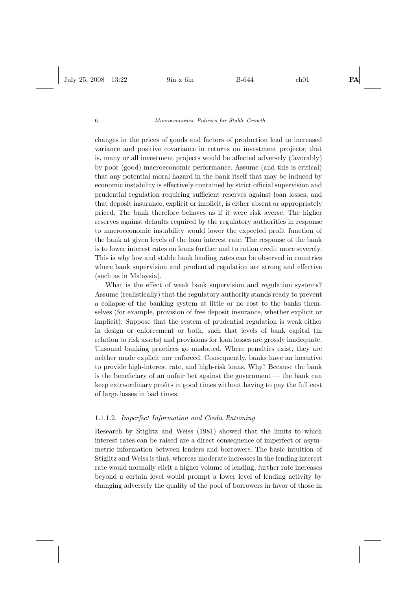changes in the prices of goods and factors of production lead to increased variance and positive covariance in returns on investment projects; that is, many or all investment projects would be affected adversely (favorably) by poor (good) macroeconomic performance. Assume (and this is critical) that any potential moral hazard in the bank itself that may be induced by economic instability is effectively contained by strict official supervision and prudential regulation requiring sufficient reserves against loan losses, and that deposit insurance, explicit or implicit, is either absent or appropriately priced. The bank therefore behaves as if it were risk averse. The higher reserves against defaults required by the regulatory authorities in response to macroeconomic instability would lower the expected profit function of the bank at given levels of the loan interest rate. The response of the bank is to lower interest rates on loans further and to ration credit more severely. This is why low and stable bank lending rates can be observed in countries where bank supervision and prudential regulation are strong and effective (such as in Malaysia).

What is the effect of weak bank supervision and regulation systems? Assume (realistically) that the regulatory authority stands ready to prevent a collapse of the banking system at little or no cost to the banks themselves (for example, provision of free deposit insurance, whether explicit or implicit). Suppose that the system of prudential regulation is weak either in design or enforcement or both, such that levels of bank capital (in relation to risk assets) and provisions for loan losses are grossly inadequate. Unsound banking practices go unabated. Where penalties exist, they are neither made explicit nor enforced. Consequently, banks have an incentive to provide high-interest rate, and high-risk loans. Why? Because the bank is the beneficiary of an unfair bet against the government — the bank can keep extraordinary profits in good times without having to pay the full cost of large losses in bad times.

# 1.1.1.2. *Imperfect Information and Credit Rationing*

Research by Stiglitz and Weiss (1981) showed that the limits to which interest rates can be raised are a direct consequence of imperfect or asymmetric information between lenders and borrowers. The basic intuition of Stiglitz and Weiss is that, whereas moderate increases in the lending interest rate would normally elicit a higher volume of lending, further rate increases beyond a certain level would prompt a lower level of lending activity by changing adversely the quality of the pool of borrowers in favor of those in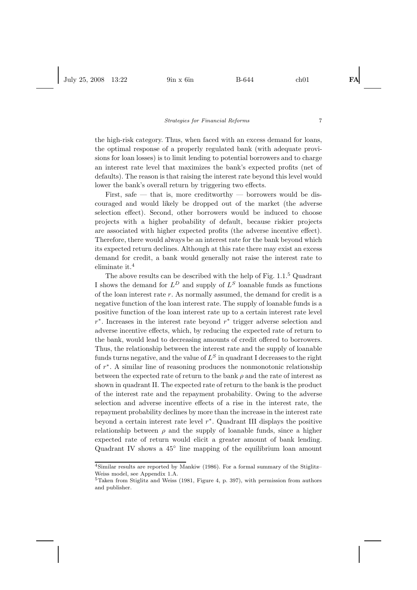the high-risk category. Thus, when faced with an excess demand for loans, the optimal response of a properly regulated bank (with adequate provisions for loan losses) is to limit lending to potential borrowers and to charge an interest rate level that maximizes the bank's expected profits (net of defaults). The reason is that raising the interest rate beyond this level would lower the bank's overall return by triggering two effects.

First, safe — that is, more creditworthy — borrowers would be discouraged and would likely be dropped out of the market (the adverse selection effect). Second, other borrowers would be induced to choose projects with a higher probability of default, because riskier projects are associated with higher expected profits (the adverse incentive effect). Therefore, there would always be an interest rate for the bank beyond which its expected return declines. Although at this rate there may exist an excess demand for credit, a bank would generally not raise the interest rate to eliminate it.<sup>4</sup>

The above results can be described with the help of Fig. 1.1.<sup>5</sup> Quadrant I shows the demand for  $L^D$  and supply of  $L^S$  loanable funds as functions of the loan interest rate  $r$ . As normally assumed, the demand for credit is a negative function of the loan interest rate. The supply of loanable funds is a positive function of the loan interest rate up to a certain interest rate level  $r<sup>*</sup>$ . Increases in the interest rate beyond  $r<sup>*</sup>$  trigger adverse selection and adverse incentive effects, which, by reducing the expected rate of return to the bank, would lead to decreasing amounts of credit offered to borrowers. Thus, the relationship between the interest rate and the supply of loanable funds turns negative, and the value of  $L<sup>S</sup>$  in quadrant I decreases to the right of r∗. A similar line of reasoning produces the nonmonotonic relationship between the expected rate of return to the bank  $\rho$  and the rate of interest as shown in quadrant II. The expected rate of return to the bank is the product of the interest rate and the repayment probability. Owing to the adverse selection and adverse incentive effects of a rise in the interest rate, the repayment probability declines by more than the increase in the interest rate beyond a certain interest rate level  $r^*$ . Quadrant III displays the positive relationship between  $\rho$  and the supply of loanable funds, since a higher expected rate of return would elicit a greater amount of bank lending. Quadrant IV shows a 45◦ line mapping of the equilibrium loan amount

<sup>4</sup>Similar results are reported by Mankiw (1986). For a formal summary of the Stiglitz– Weiss model, see Appendix 1.A.

<sup>5</sup>Taken from Stiglitz and Weiss (1981, Figure 4, p. 397), with permission from authors and publisher.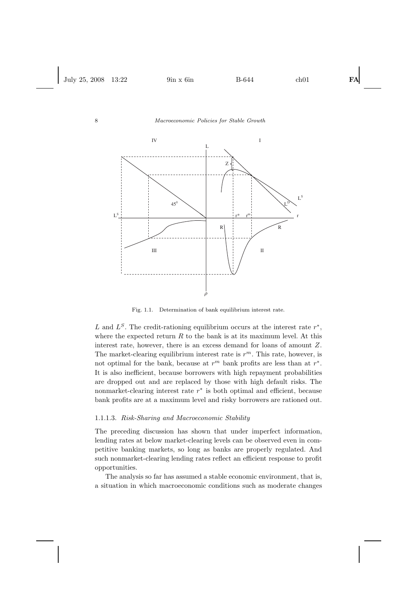

Fig. 1.1. Determination of bank equilibrium interest rate.

L and  $L^S$ . The credit-rationing equilibrium occurs at the interest rate  $r^*$ , where the expected return  $R$  to the bank is at its maximum level. At this interest rate, however, there is an excess demand for loans of amount Z. The market-clearing equilibrium interest rate is  $r^m$ . This rate, however, is not optimal for the bank, because at  $r^m$  bank profits are less than at  $r^*$ . It is also inefficient, because borrowers with high repayment probabilities are dropped out and are replaced by those with high default risks. The nonmarket-clearing interest rate  $r<sup>*</sup>$  is both optimal and efficient, because bank profits are at a maximum level and risky borrowers are rationed out.

#### 1.1.1.3. *Risk-Sharing and Macroeconomic Stability*

The preceding discussion has shown that under imperfect information, lending rates at below market-clearing levels can be observed even in competitive banking markets, so long as banks are properly regulated. And such nonmarket-clearing lending rates reflect an efficient response to profit opportunities.

The analysis so far has assumed a stable economic environment, that is, a situation in which macroeconomic conditions such as moderate changes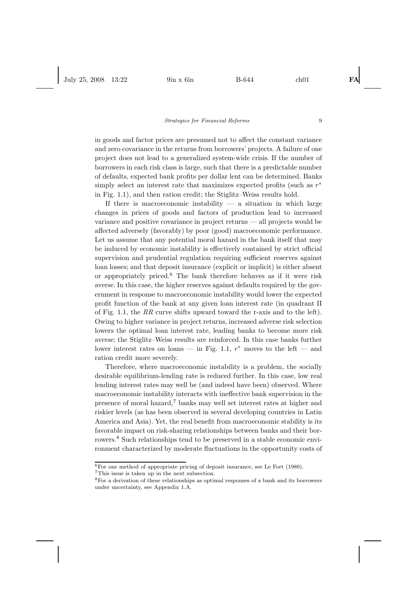in goods and factor prices are presumed not to affect the constant variance and zero covariance in the returns from borrowers' projects. A failure of one project does not lead to a generalized system-wide crisis. If the number of borrowers in each risk class is large, such that there is a predictable number of defaults, expected bank profits per dollar lent can be determined. Banks simply select an interest rate that maximizes expected profits (such as  $r^*$ in Fig. 1.1), and then ration credit; the Stiglitz–Weiss results hold.

If there is macroeconomic instability  $-$  a situation in which large changes in prices of goods and factors of production lead to increased variance and positive covariance in project returns — all projects would be affected adversely (favorably) by poor (good) macroeconomic performance. Let us assume that any potential moral hazard in the bank itself that may be induced by economic instability is effectively contained by strict official supervision and prudential regulation requiring sufficient reserves against loan losses; and that deposit insurance (explicit or implicit) is either absent or appropriately priced.<sup>6</sup> The bank therefore behaves as if it were risk averse. In this case, the higher reserves against defaults required by the government in response to macroeconomic instability would lower the expected profit function of the bank at any given loan interest rate (in quadrant II of Fig. 1.1, the *RR* curve shifts upward toward the r-axis and to the left). Owing to higher variance in project returns, increased adverse risk selection lowers the optimal loan interest rate, leading banks to become more risk averse; the Stiglitz–Weiss results are reinforced. In this case banks further lower interest rates on loans — in Fig. 1.1,  $r^*$  moves to the left — and ration credit more severely.

Therefore, where macroeconomic instability is a problem, the socially desirable equilibrium-lending rate is reduced further. In this case, low real lending interest rates may well be (and indeed have been) observed. Where macroeconomic instability interacts with ineffective bank supervision in the presence of moral hazard,<sup>7</sup> banks may well set interest rates at higher and riskier levels (as has been observed in several developing countries in Latin America and Asia). Yet, the real benefit from macroeconomic stability is its favorable impact on risk-sharing relationships between banks and their borrowers.<sup>8</sup> Such relationships tend to be preserved in a stable economic environment characterized by moderate fluctuations in the opportunity costs of

<sup>7</sup>This issue is taken up in the next subsection.

 ${}^{6}$ For one method of appropriate pricing of deposit insurance, see Le Fort (1989).

<sup>8</sup>For a derivation of these relationships as optimal responses of a bank and its borrowers under uncertainty, see Appendix 1.A.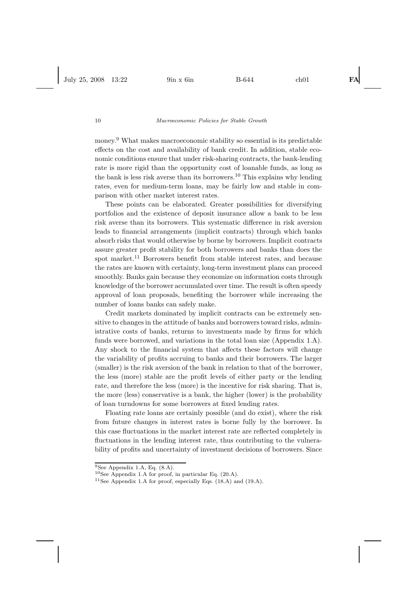money.<sup>9</sup> What makes macroeconomic stability so essential is its predictable effects on the cost and availability of bank credit. In addition, stable economic conditions ensure that under risk-sharing contracts, the bank-lending rate is more rigid than the opportunity cost of loanable funds, as long as the bank is less risk averse than its borrowers.<sup>10</sup> This explains why lending rates, even for medium-term loans, may be fairly low and stable in comparison with other market interest rates.

These points can be elaborated. Greater possibilities for diversifying portfolios and the existence of deposit insurance allow a bank to be less risk averse than its borrowers. This systematic difference in risk aversion leads to financial arrangements (implicit contracts) through which banks absorb risks that would otherwise by borne by borrowers. Implicit contracts assure greater profit stability for both borrowers and banks than does the spot market.<sup>11</sup> Borrowers benefit from stable interest rates, and because the rates are known with certainty, long-term investment plans can proceed smoothly. Banks gain because they economize on information costs through knowledge of the borrower accumulated over time. The result is often speedy approval of loan proposals, benefiting the borrower while increasing the number of loans banks can safely make.

Credit markets dominated by implicit contracts can be extremely sensitive to changes in the attitude of banks and borrowers toward risks, administrative costs of banks, returns to investments made by firms for which funds were borrowed, and variations in the total loan size (Appendix 1.A). Any shock to the financial system that affects these factors will change the variability of profits accruing to banks and their borrowers. The larger (smaller) is the risk aversion of the bank in relation to that of the borrower, the less (more) stable are the profit levels of either party or the lending rate, and therefore the less (more) is the incentive for risk sharing. That is, the more (less) conservative is a bank, the higher (lower) is the probability of loan turndowns for some borrowers at fixed lending rates.

Floating rate loans are certainly possible (and do exist), where the risk from future changes in interest rates is borne fully by the borrower. In this case fluctuations in the market interest rate are reflected completely in fluctuations in the lending interest rate, thus contributing to the vulnerability of profits and uncertainty of investment decisions of borrowers. Since

 $9$ See Appendix 1.A, Eq.  $(8.A)$ .

 $10$ See Appendix 1.A for proof, in particular Eq. (20.A).

<sup>&</sup>lt;sup>11</sup>See Appendix 1.A for proof, especially Eqs.  $(18.A)$  and  $(19.A)$ .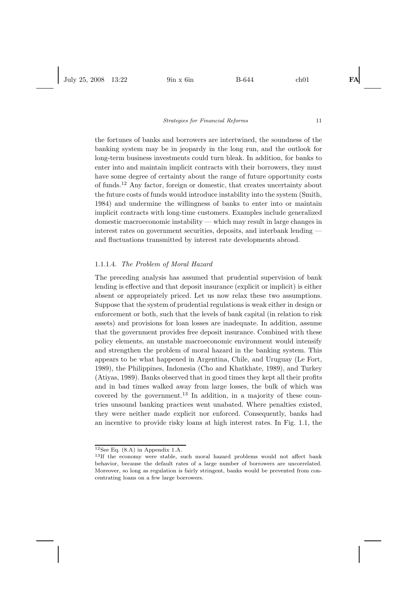the fortunes of banks and borrowers are intertwined, the soundness of the banking system may be in jeopardy in the long run, and the outlook for long-term business investments could turn bleak. In addition, for banks to enter into and maintain implicit contracts with their borrowers, they must have some degree of certainty about the range of future opportunity costs of funds.<sup>12</sup> Any factor, foreign or domestic, that creates uncertainty about the future costs of funds would introduce instability into the system (Smith, 1984) and undermine the willingness of banks to enter into or maintain implicit contracts with long-time customers. Examples include generalized domestic macroeconomic instability — which may result in large changes in interest rates on government securities, deposits, and interbank lending and fluctuations transmitted by interest rate developments abroad.

# 1.1.1.4. *The Problem of Moral Hazard*

The preceding analysis has assumed that prudential supervision of bank lending is effective and that deposit insurance (explicit or implicit) is either absent or appropriately priced. Let us now relax these two assumptions. Suppose that the system of prudential regulations is weak either in design or enforcement or both, such that the levels of bank capital (in relation to risk assets) and provisions for loan losses are inadequate. In addition, assume that the government provides free deposit insurance. Combined with these policy elements, an unstable macroeconomic environment would intensify and strengthen the problem of moral hazard in the banking system. This appears to be what happened in Argentina, Chile, and Uruguay (Le Fort, 1989), the Philippines, Indonesia (Cho and Khatkhate, 1989), and Turkey (Atiyas, 1989). Banks observed that in good times they kept all their profits and in bad times walked away from large losses, the bulk of which was covered by the government.<sup>13</sup> In addition, in a majority of these countries unsound banking practices went unabated. Where penalties existed, they were neither made explicit nor enforced. Consequently, banks had an incentive to provide risky loans at high interest rates. In Fig. 1.1, the

 $12$ See Eq. (8.A) in Appendix 1.A.

<sup>&</sup>lt;sup>13</sup>If the economy were stable, such moral hazard problems would not affect bank behavior, because the default rates of a large number of borrowers are uncorrelated. Moreover, so long as regulation is fairly stringent, banks would be prevented from concentrating loans on a few large borrowers.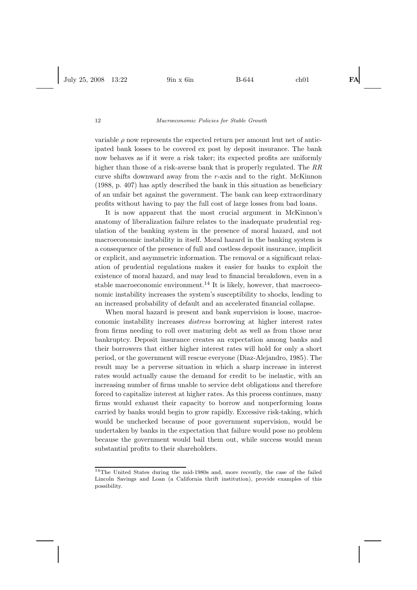variable  $\rho$  now represents the expected return per amount lent net of anticipated bank losses to be covered ex post by deposit insurance. The bank now behaves as if it were a risk taker; its expected profits are uniformly higher than those of a risk-averse bank that is properly regulated. The *RR* curve shifts downward away from the r-axis and to the right. McKinnon (1988, p. 407) has aptly described the bank in this situation as beneficiary of an unfair bet against the government. The bank can keep extraordinary profits without having to pay the full cost of large losses from bad loans.

It is now apparent that the most crucial argument in McKinnon's anatomy of liberalization failure relates to the inadequate prudential regulation of the banking system in the presence of moral hazard, and not macroeconomic instability in itself. Moral hazard in the banking system is a consequence of the presence of full and costless deposit insurance, implicit or explicit, and asymmetric information. The removal or a significant relaxation of prudential regulations makes it easier for banks to exploit the existence of moral hazard, and may lead to financial breakdown, even in a stable macroeconomic environment.<sup>14</sup> It is likely, however, that macroeconomic instability increases the system's susceptibility to shocks, leading to an increased probability of default and an accelerated financial collapse.

When moral hazard is present and bank supervision is loose, macroeconomic instability increases *distress* borrowing at higher interest rates from firms needing to roll over maturing debt as well as from those near bankruptcy. Deposit insurance creates an expectation among banks and their borrowers that either higher interest rates will hold for only a short period, or the government will rescue everyone (Diaz-Alejandro, 1985). The result may be a perverse situation in which a sharp increase in interest rates would actually cause the demand for credit to be inelastic, with an increasing number of firms unable to service debt obligations and therefore forced to capitalize interest at higher rates. As this process continues, many firms would exhaust their capacity to borrow and nonperforming loans carried by banks would begin to grow rapidly. Excessive risk-taking, which would be unchecked because of poor government supervision, would be undertaken by banks in the expectation that failure would pose no problem because the government would bail them out, while success would mean substantial profits to their shareholders.

<sup>14</sup>The United States during the mid-1980s and, more recently, the case of the failed Lincoln Savings and Loan (a California thrift institution), provide examples of this possibility.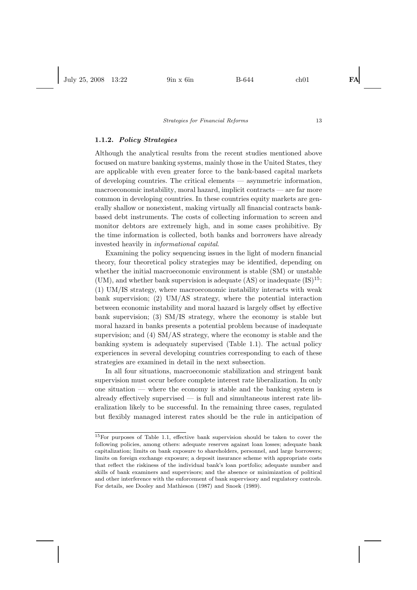# **1.1.2.** *Policy Strategies*

Although the analytical results from the recent studies mentioned above focused on mature banking systems, mainly those in the United States, they are applicable with even greater force to the bank-based capital markets of developing countries. The critical elements — asymmetric information, macroeconomic instability, moral hazard, implicit contracts — are far more common in developing countries. In these countries equity markets are generally shallow or nonexistent, making virtually all financial contracts bankbased debt instruments. The costs of collecting information to screen and monitor debtors are extremely high, and in some cases prohibitive. By the time information is collected, both banks and borrowers have already invested heavily in *informational capital*.

Examining the policy sequencing issues in the light of modern financial theory, four theoretical policy strategies may be identified, depending on whether the initial macroeconomic environment is stable (SM) or unstable (UM), and whether bank supervision is adequate  $(AS)$  or inadequate  $(IS)^{15}$ : (1) UM/IS strategy, where macroeconomic instability interacts with weak bank supervision; (2) UM/AS strategy, where the potential interaction between economic instability and moral hazard is largely offset by effective bank supervision; (3) SM/IS strategy, where the economy is stable but moral hazard in banks presents a potential problem because of inadequate supervision; and  $(4)$  SM/AS strategy, where the economy is stable and the banking system is adequately supervised (Table 1.1). The actual policy experiences in several developing countries corresponding to each of these strategies are examined in detail in the next subsection.

In all four situations, macroeconomic stabilization and stringent bank supervision must occur before complete interest rate liberalization. In only one situation — where the economy is stable and the banking system is already effectively supervised — is full and simultaneous interest rate liberalization likely to be successful. In the remaining three cases, regulated but flexibly managed interest rates should be the rule in anticipation of

<sup>15</sup>For purposes of Table 1.1, effective bank supervision should be taken to cover the following policies, among others: adequate reserves against loan losses; adequate bank capitalization; limits on bank exposure to shareholders, personnel, and large borrowers; limits on foreign exchange exposure; a deposit insurance scheme with appropriate costs that reflect the riskiness of the individual bank's loan portfolio; adequate number and skills of bank examiners and supervisors; and the absence or minimization of political and other interference with the enforcement of bank supervisory and regulatory controls. For details, see Dooley and Mathieson (1987) and Snoek (1989).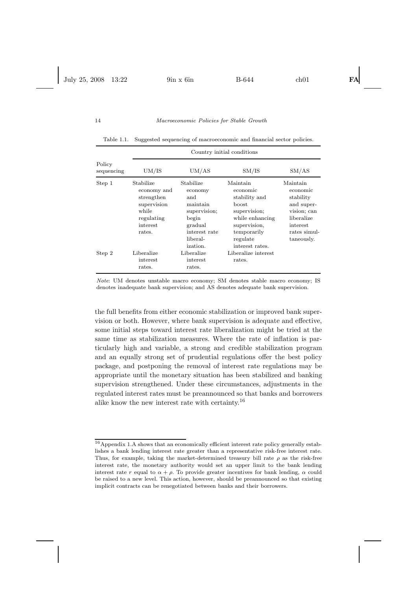|                      | Country initial conditions                                                                         |                                                                                                                      |                                                                                                                                                  |                                                                                                                        |
|----------------------|----------------------------------------------------------------------------------------------------|----------------------------------------------------------------------------------------------------------------------|--------------------------------------------------------------------------------------------------------------------------------------------------|------------------------------------------------------------------------------------------------------------------------|
| Policy<br>sequencing | UM/IS                                                                                              | UM/AS                                                                                                                | SM/IS                                                                                                                                            | SM/AS                                                                                                                  |
| Step 1               | Stabilize<br>economy and<br>strengthen<br>supervision<br>while<br>regulating<br>interest<br>rates. | Stabilize<br>economy<br>and<br>maintain<br>supervision;<br>begin<br>gradual<br>interest rate<br>liberal-<br>ization. | Maintain<br>economic<br>stability and<br>boost.<br>supervision;<br>while enhancing<br>supervision,<br>temporarily<br>regulate<br>interest rates. | Maintain<br>economic<br>stability<br>and super-<br>vision; can<br>liberalize<br>interest<br>rates simul-<br>taneously. |
| Step 2               | Liberalize<br>interest<br>rates.                                                                   | Liberalize<br>interest<br>rates.                                                                                     | Liberalize interest<br>rates.                                                                                                                    |                                                                                                                        |

Table 1.1. Suggested sequencing of macroeconomic and financial sector policies.

Note: UM denotes unstable macro economy; SM denotes stable macro economy; IS denotes inadequate bank supervision; and AS denotes adequate bank supervision.

the full benefits from either economic stabilization or improved bank supervision or both. However, where bank supervision is adequate and effective, some initial steps toward interest rate liberalization might be tried at the same time as stabilization measures. Where the rate of inflation is particularly high and variable, a strong and credible stabilization program and an equally strong set of prudential regulations offer the best policy package, and postponing the removal of interest rate regulations may be appropriate until the monetary situation has been stabilized and banking supervision strengthened. Under these circumstances, adjustments in the regulated interest rates must be preannounced so that banks and borrowers alike know the new interest rate with certainty.<sup>16</sup>

<sup>16</sup>Appendix 1.A shows that an economically efficient interest rate policy generally establishes a bank lending interest rate greater than a representative risk-free interest rate. Thus, for example, taking the market-determined treasury bill rate  $\rho$  as the risk-free interest rate, the monetary authority would set an upper limit to the bank lending interest rate r equal to  $\alpha + \rho$ . To provide greater incentives for bank lending,  $\alpha$  could be raised to a new level. This action, however, should be preannounced so that existing implicit contracts can be renegotiated between banks and their borrowers.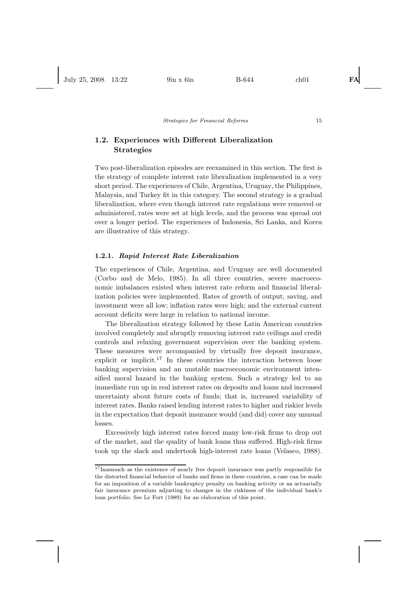# **1.2. Experiences with Different Liberalization Strategies**

Two post-liberalization episodes are reexamined in this section. The first is the strategy of complete interest rate liberalization implemented in a very short period. The experiences of Chile, Argentina, Uruguay, the Philippines, Malaysia, and Turkey fit in this category. The second strategy is a gradual liberalization, where even though interest rate regulations were removed or administered, rates were set at high levels, and the process was spread out over a longer period. The experiences of Indonesia, Sri Lanka, and Korea are illustrative of this strategy.

#### **1.2.1.** *Rapid Interest Rate Liberalization*

The experiences of Chile, Argentina, and Uruguay are well documented (Corbo and de Melo, 1985). In all three countries, severe macroeconomic imbalances existed when interest rate reform and financial liberalization policies were implemented. Rates of growth of output, saving, and investment were all low; inflation rates were high; and the external current account deficits were large in relation to national income.

The liberalization strategy followed by these Latin American countries involved completely and abruptly removing interest rate ceilings and credit controls and relaxing government supervision over the banking system. These measures were accompanied by virtually free deposit insurance, explicit or implicit.<sup>17</sup> In these countries the interaction between loose banking supervision and an unstable macroeconomic environment intensified moral hazard in the banking system. Such a strategy led to an immediate run up in real interest rates on deposits and loans and increased uncertainty about future costs of funds; that is, increased variability of interest rates. Banks raised lending interest rates to higher and riskier levels in the expectation that deposit insurance would (and did) cover any unusual losses.

Excessively high interest rates forced many low-risk firms to drop out of the market, and the quality of bank loans thus suffered. High-risk firms took up the slack and undertook high-interest rate loans (Velasco, 1988).

<sup>&</sup>lt;sup>17</sup>Inasmuch as the existence of nearly free deposit insurance was partly responsible for the distorted financial behavior of banks and firms in these countries, a case can be made for an imposition of a variable bankruptcy penalty on banking activity or an actuarially fair insurance premium adjusting to changes in the riskiness of the individual bank's loan portfolio. See Le Fort (1989) for an elaboration of this point.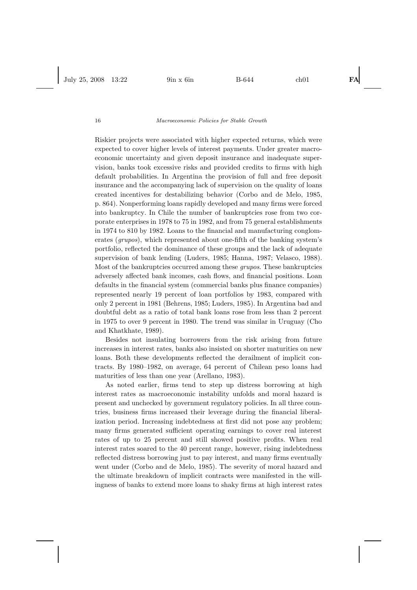Riskier projects were associated with higher expected returns, which were expected to cover higher levels of interest payments. Under greater macroeconomic uncertainty and given deposit insurance and inadequate supervision, banks took excessive risks and provided credits to firms with high default probabilities. In Argentina the provision of full and free deposit insurance and the accompanying lack of supervision on the quality of loans created incentives for destabilizing behavior (Corbo and de Melo, 1985, p. 864). Nonperforming loans rapidly developed and many firms were forced into bankruptcy. In Chile the number of bankruptcies rose from two corporate enterprises in 1978 to 75 in 1982, and from 75 general establishments in 1974 to 810 by 1982. Loans to the financial and manufacturing conglomerates (*grupos*), which represented about one-fifth of the banking system's portfolio, reflected the dominance of these groups and the lack of adequate supervision of bank lending (Luders, 1985; Hanna, 1987; Velasco, 1988). Most of the bankruptcies occurred among these *grupos*. These bankruptcies adversely affected bank incomes, cash flows, and financial positions. Loan defaults in the financial system (commercial banks plus finance companies) represented nearly 19 percent of loan portfolios by 1983, compared with only 2 percent in 1981 (Behrens, 1985; Luders, 1985). In Argentina bad and doubtful debt as a ratio of total bank loans rose from less than 2 percent in 1975 to over 9 percent in 1980. The trend was similar in Uruguay (Cho and Khatkhate, 1989).

Besides not insulating borrowers from the risk arising from future increases in interest rates, banks also insisted on shorter maturities on new loans. Both these developments reflected the derailment of implicit contracts. By 1980–1982, on average, 64 percent of Chilean peso loans had maturities of less than one year (Arellano, 1983).

As noted earlier, firms tend to step up distress borrowing at high interest rates as macroeconomic instability unfolds and moral hazard is present and unchecked by government regulatory policies. In all three countries, business firms increased their leverage during the financial liberalization period. Increasing indebtedness at first did not pose any problem; many firms generated sufficient operating earnings to cover real interest rates of up to 25 percent and still showed positive profits. When real interest rates soared to the 40 percent range, however, rising indebtedness reflected distress borrowing just to pay interest, and many firms eventually went under (Corbo and de Melo, 1985). The severity of moral hazard and the ultimate breakdown of implicit contracts were manifested in the willingness of banks to extend more loans to shaky firms at high interest rates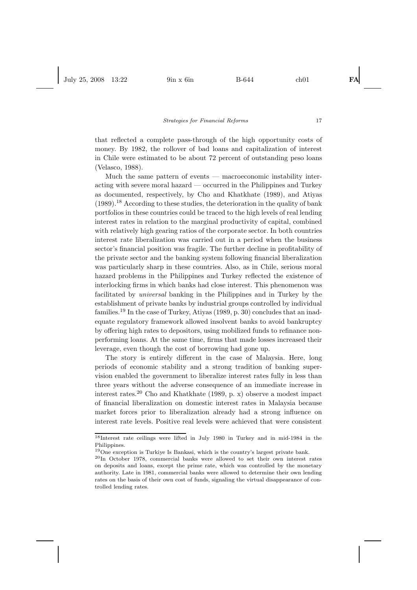that reflected a complete pass-through of the high opportunity costs of money. By 1982, the rollover of bad loans and capitalization of interest in Chile were estimated to be about 72 percent of outstanding peso loans (Velasco, 1988).

Much the same pattern of events — macroeconomic instability interacting with severe moral hazard — occurred in the Philippines and Turkey as documented, respectively, by Cho and Khatkhate (1989), and Atiyas  $(1989).$ <sup>18</sup> According to these studies, the deterioration in the quality of bank portfolios in these countries could be traced to the high levels of real lending interest rates in relation to the marginal productivity of capital, combined with relatively high gearing ratios of the corporate sector. In both countries interest rate liberalization was carried out in a period when the business sector's financial position was fragile. The further decline in profitability of the private sector and the banking system following financial liberalization was particularly sharp in these countries. Also, as in Chile, serious moral hazard problems in the Philippines and Turkey reflected the existence of interlocking firms in which banks had close interest. This phenomenon was facilitated by *universal* banking in the Philippines and in Turkey by the establishment of private banks by industrial groups controlled by individual families.<sup>19</sup> In the case of Turkey, Atiyas  $(1989, p. 30)$  concludes that an inadequate regulatory framework allowed insolvent banks to avoid bankruptcy by offering high rates to depositors, using mobilized funds to refinance nonperforming loans. At the same time, firms that made losses increased their leverage, even though the cost of borrowing had gone up.

The story is entirely different in the case of Malaysia. Here, long periods of economic stability and a strong tradition of banking supervision enabled the government to liberalize interest rates fully in less than three years without the adverse consequence of an immediate increase in interest rates.<sup>20</sup> Cho and Khatkhate (1989, p. x) observe a modest impact of financial liberalization on domestic interest rates in Malaysia because market forces prior to liberalization already had a strong influence on interest rate levels. Positive real levels were achieved that were consistent

<sup>18</sup>Interest rate ceilings were lifted in July 1980 in Turkey and in mid-1984 in the Philippines.

<sup>19</sup>One exception is Turkiye Is Bankasi, which is the country's largest private bank.

<sup>20</sup>In October 1978, commercial banks were allowed to set their own interest rates on deposits and loans, except the prime rate, which was controlled by the monetary authority. Late in 1981, commercial banks were allowed to determine their own lending rates on the basis of their own cost of funds, signaling the virtual disappearance of controlled lending rates.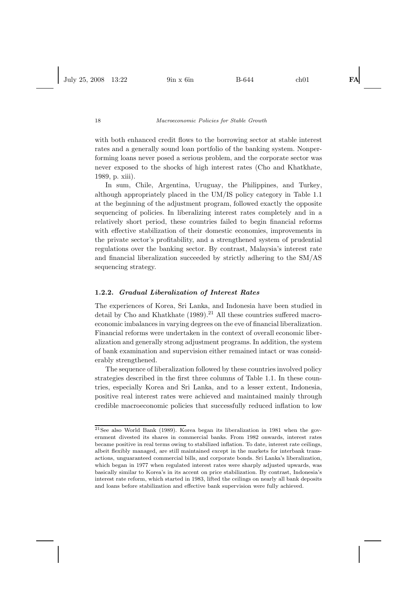with both enhanced credit flows to the borrowing sector at stable interest rates and a generally sound loan portfolio of the banking system. Nonperforming loans never posed a serious problem, and the corporate sector was never exposed to the shocks of high interest rates (Cho and Khatkhate, 1989, p. xiii).

In sum, Chile, Argentina, Uruguay, the Philippines, and Turkey, although appropriately placed in the UM/IS policy category in Table 1.1 at the beginning of the adjustment program, followed exactly the opposite sequencing of policies. In liberalizing interest rates completely and in a relatively short period, these countries failed to begin financial reforms with effective stabilization of their domestic economies, improvements in the private sector's profitability, and a strengthened system of prudential regulations over the banking sector. By contrast, Malaysia's interest rate and financial liberalization succeeded by strictly adhering to the SM/AS sequencing strategy.

# **1.2.2.** *Gradual Liberalization of Interest Rates*

The experiences of Korea, Sri Lanka, and Indonesia have been studied in detail by Cho and Khatkhate  $(1989)$ .<sup>21</sup> All these countries suffered macroeconomic imbalances in varying degrees on the eve of financial liberalization. Financial reforms were undertaken in the context of overall economic liberalization and generally strong adjustment programs. In addition, the system of bank examination and supervision either remained intact or was considerably strengthened.

The sequence of liberalization followed by these countries involved policy strategies described in the first three columns of Table 1.1. In these countries, especially Korea and Sri Lanka, and to a lesser extent, Indonesia, positive real interest rates were achieved and maintained mainly through credible macroeconomic policies that successfully reduced inflation to low

 $21$ See also World Bank (1989). Korea began its liberalization in 1981 when the government divested its shares in commercial banks. From 1982 onwards, interest rates became positive in real terms owing to stabilized inflation. To date, interest rate ceilings, albeit flexibly managed, are still maintained except in the markets for interbank transactions, unguaranteed commercial bills, and corporate bonds. Sri Lanka's liberalization, which began in 1977 when regulated interest rates were sharply adjusted upwards, was basically similar to Korea's in its accent on price stabilization. By contrast, Indonesia's interest rate reform, which started in 1983, lifted the ceilings on nearly all bank deposits and loans before stabilization and effective bank supervision were fully achieved.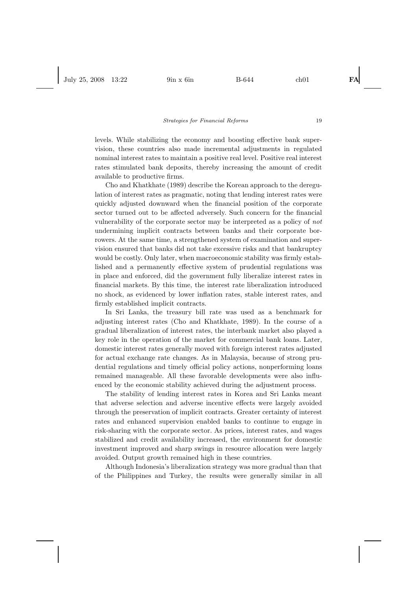levels. While stabilizing the economy and boosting effective bank supervision, these countries also made incremental adjustments in regulated nominal interest rates to maintain a positive real level. Positive real interest rates stimulated bank deposits, thereby increasing the amount of credit available to productive firms.

Cho and Khatkhate (1989) describe the Korean approach to the deregulation of interest rates as pragmatic, noting that lending interest rates were quickly adjusted downward when the financial position of the corporate sector turned out to be affected adversely. Such concern for the financial vulnerability of the corporate sector may be interpreted as a policy of *not* undermining implicit contracts between banks and their corporate borrowers. At the same time, a strengthened system of examination and supervision ensured that banks did not take excessive risks and that bankruptcy would be costly. Only later, when macroeconomic stability was firmly established and a permanently effective system of prudential regulations was in place and enforced, did the government fully liberalize interest rates in financial markets. By this time, the interest rate liberalization introduced no shock, as evidenced by lower inflation rates, stable interest rates, and firmly established implicit contracts.

In Sri Lanka, the treasury bill rate was used as a benchmark for adjusting interest rates (Cho and Khatkhate, 1989). In the course of a gradual liberalization of interest rates, the interbank market also played a key role in the operation of the market for commercial bank loans. Later, domestic interest rates generally moved with foreign interest rates adjusted for actual exchange rate changes. As in Malaysia, because of strong prudential regulations and timely official policy actions, nonperforming loans remained manageable. All these favorable developments were also influenced by the economic stability achieved during the adjustment process.

The stability of lending interest rates in Korea and Sri Lanka meant that adverse selection and adverse incentive effects were largely avoided through the preservation of implicit contracts. Greater certainty of interest rates and enhanced supervision enabled banks to continue to engage in risk-sharing with the corporate sector. As prices, interest rates, and wages stabilized and credit availability increased, the environment for domestic investment improved and sharp swings in resource allocation were largely avoided. Output growth remained high in these countries.

Although Indonesia's liberalization strategy was more gradual than that of the Philippines and Turkey, the results were generally similar in all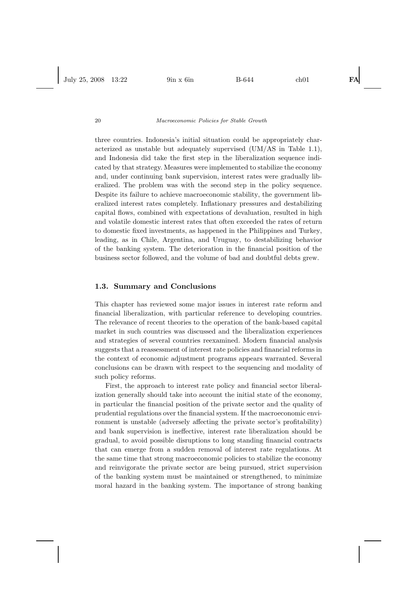three countries. Indonesia's initial situation could be appropriately characterized as unstable but adequately supervised (UM/AS in Table 1.1), and Indonesia did take the first step in the liberalization sequence indicated by that strategy. Measures were implemented to stabilize the economy and, under continuing bank supervision, interest rates were gradually liberalized. The problem was with the second step in the policy sequence. Despite its failure to achieve macroeconomic stability, the government liberalized interest rates completely. Inflationary pressures and destabilizing capital flows, combined with expectations of devaluation, resulted in high and volatile domestic interest rates that often exceeded the rates of return to domestic fixed investments, as happened in the Philippines and Turkey, leading, as in Chile, Argentina, and Uruguay, to destabilizing behavior of the banking system. The deterioration in the financial position of the business sector followed, and the volume of bad and doubtful debts grew.

# **1.3. Summary and Conclusions**

This chapter has reviewed some major issues in interest rate reform and financial liberalization, with particular reference to developing countries. The relevance of recent theories to the operation of the bank-based capital market in such countries was discussed and the liberalization experiences and strategies of several countries reexamined. Modern financial analysis suggests that a reassessment of interest rate policies and financial reforms in the context of economic adjustment programs appears warranted. Several conclusions can be drawn with respect to the sequencing and modality of such policy reforms.

First, the approach to interest rate policy and financial sector liberalization generally should take into account the initial state of the economy, in particular the financial position of the private sector and the quality of prudential regulations over the financial system. If the macroeconomic environment is unstable (adversely affecting the private sector's profitability) and bank supervision is ineffective, interest rate liberalization should be gradual, to avoid possible disruptions to long standing financial contracts that can emerge from a sudden removal of interest rate regulations. At the same time that strong macroeconomic policies to stabilize the economy and reinvigorate the private sector are being pursued, strict supervision of the banking system must be maintained or strengthened, to minimize moral hazard in the banking system. The importance of strong banking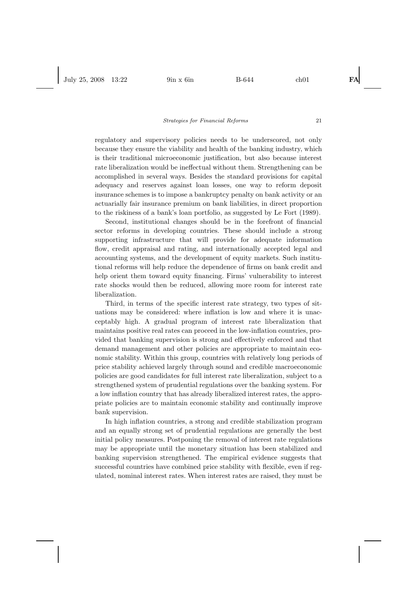regulatory and supervisory policies needs to be underscored, not only because they ensure the viability and health of the banking industry, which is their traditional microeconomic justification, but also because interest rate liberalization would be ineffectual without them. Strengthening can be accomplished in several ways. Besides the standard provisions for capital adequacy and reserves against loan losses, one way to reform deposit insurance schemes is to impose a bankruptcy penalty on bank activity or an actuarially fair insurance premium on bank liabilities, in direct proportion to the riskiness of a bank's loan portfolio, as suggested by Le Fort (1989).

Second, institutional changes should be in the forefront of financial sector reforms in developing countries. These should include a strong supporting infrastructure that will provide for adequate information flow, credit appraisal and rating, and internationally accepted legal and accounting systems, and the development of equity markets. Such institutional reforms will help reduce the dependence of firms on bank credit and help orient them toward equity financing. Firms' vulnerability to interest rate shocks would then be reduced, allowing more room for interest rate liberalization.

Third, in terms of the specific interest rate strategy, two types of situations may be considered: where inflation is low and where it is unacceptably high. A gradual program of interest rate liberalization that maintains positive real rates can proceed in the low-inflation countries, provided that banking supervision is strong and effectively enforced and that demand management and other policies are appropriate to maintain economic stability. Within this group, countries with relatively long periods of price stability achieved largely through sound and credible macroeconomic policies are good candidates for full interest rate liberalization, subject to a strengthened system of prudential regulations over the banking system. For a low inflation country that has already liberalized interest rates, the appropriate policies are to maintain economic stability and continually improve bank supervision.

In high inflation countries, a strong and credible stabilization program and an equally strong set of prudential regulations are generally the best initial policy measures. Postponing the removal of interest rate regulations may be appropriate until the monetary situation has been stabilized and banking supervision strengthened. The empirical evidence suggests that successful countries have combined price stability with flexible, even if regulated, nominal interest rates. When interest rates are raised, they must be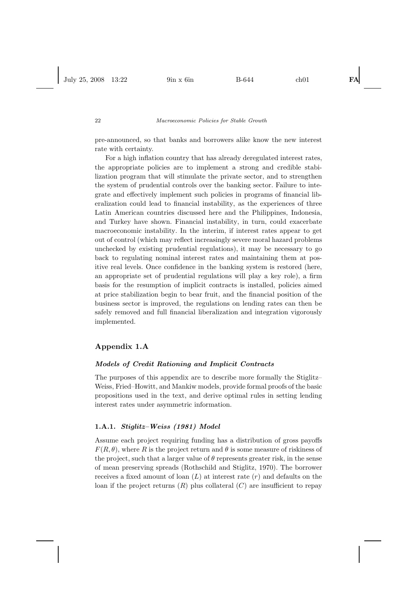pre-announced, so that banks and borrowers alike know the new interest rate with certainty.

For a high inflation country that has already deregulated interest rates, the appropriate policies are to implement a strong and credible stabilization program that will stimulate the private sector, and to strengthen the system of prudential controls over the banking sector. Failure to integrate and effectively implement such policies in programs of financial liberalization could lead to financial instability, as the experiences of three Latin American countries discussed here and the Philippines, Indonesia, and Turkey have shown. Financial instability, in turn, could exacerbate macroeconomic instability. In the interim, if interest rates appear to get out of control (which may reflect increasingly severe moral hazard problems unchecked by existing prudential regulations), it may be necessary to go back to regulating nominal interest rates and maintaining them at positive real levels. Once confidence in the banking system is restored (here, an appropriate set of prudential regulations will play a key role), a firm basis for the resumption of implicit contracts is installed, policies aimed at price stabilization begin to bear fruit, and the financial position of the business sector is improved, the regulations on lending rates can then be safely removed and full financial liberalization and integration vigorously implemented.

# **Appendix 1.A**

### *Models of Credit Rationing and Implicit Contracts*

The purposes of this appendix are to describe more formally the Stiglitz– Weiss, Fried–Howitt, and Mankiw models, provide formal proofs of the basic propositions used in the text, and derive optimal rules in setting lending interest rates under asymmetric information.

# **1.A.1.** *Stiglitz–Weiss (1981) Model*

Assume each project requiring funding has a distribution of gross payoffs  $F(R, \theta)$ , where R is the project return and  $\theta$  is some measure of riskiness of the project, such that a larger value of  $\theta$  represents greater risk, in the sense of mean preserving spreads (Rothschild and Stiglitz, 1970). The borrower receives a fixed amount of loan  $(L)$  at interest rate  $(r)$  and defaults on the loan if the project returns  $(R)$  plus collateral  $(C)$  are insufficient to repay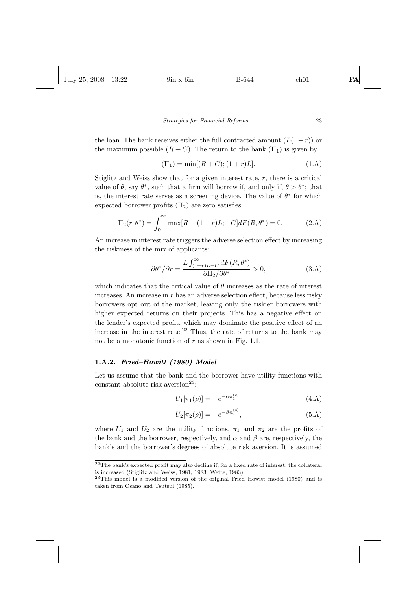the loan. The bank receives either the full contracted amount  $(L(1+r))$  or the maximum possible  $(R+C)$ . The return to the bank  $(\Pi_1)$  is given by

$$
(\Pi_1) = \min[(R+C); (1+r)L]. \tag{1.A}
$$

Stiglitz and Weiss show that for a given interest rate,  $r$ , there is a critical value of  $\theta$ , say  $\theta^*$ , such that a firm will borrow if, and only if,  $\theta > \theta^*$ ; that is, the interest rate serves as a screening device. The value of  $\theta^*$  for which expected borrower profits  $(\Pi_2)$  are zero satisfies

$$
\Pi_2(r, \theta^*) = \int_0^\infty \max[R - (1+r)L; -C]dF(R, \theta^*) = 0.
$$
 (2.A)

An increase in interest rate triggers the adverse selection effect by increasing the riskiness of the mix of applicants:

$$
\partial \theta^* / \partial r = \frac{L \int_{(1+r)L-C}^{\infty} dF(R, \theta^*)}{\partial \Pi_2 / \partial \theta^*} > 0,
$$
\n(3.A)

which indicates that the critical value of  $\theta$  increases as the rate of interest increases. An increase in r has an adverse selection effect, because less risky borrowers opt out of the market, leaving only the riskier borrowers with higher expected returns on their projects. This has a negative effect on the lender's expected profit, which may dominate the positive effect of an increase in the interest rate.<sup>22</sup> Thus, the rate of returns to the bank may not be a monotonic function of  $r$  as shown in Fig. 1.1.

# **1.A.2.** *Fried–Howitt (1980) Model*

Let us assume that the bank and the borrower have utility functions with constant absolute risk aversion<sup>23</sup>:

$$
U_1[\pi_1(\rho)] = -e^{-\alpha \pi_1^{(\rho)}} \tag{4.A}
$$

$$
U_2[\pi_2(\rho)] = -e^{-\beta \pi_2^{(\rho)}}, \tag{5.A}
$$

where  $U_1$  and  $U_2$  are the utility functions,  $\pi_1$  and  $\pi_2$  are the profits of the bank and the borrower, respectively, and  $\alpha$  and  $\beta$  are, respectively, the bank's and the borrower's degrees of absolute risk aversion. It is assumed

 $^{22}\mathrm{The\ bank}$  expected profit may also decline if, for a fixed rate of interest, the collateral is increased (Stiglitz and Weiss, 1981; 1983; Wette, 1983).

<sup>23</sup>This model is a modified version of the original Fried–Howitt model (1980) and is taken from Osano and Tsutsui (1985).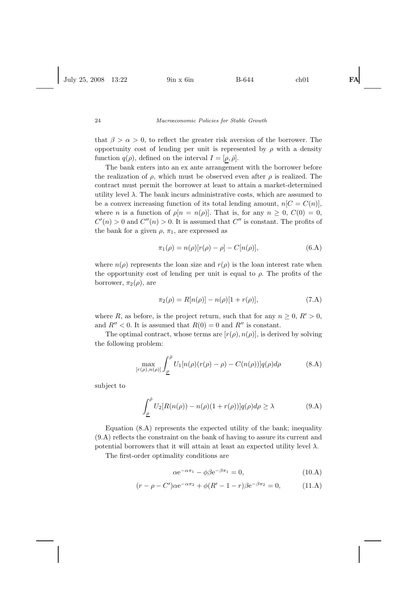that  $\beta > \alpha > 0$ , to reflect the greater risk aversion of the borrower. The opportunity cost of lending per unit is represented by  $\rho$  with a density function  $q(\rho)$ , defined on the interval  $I = [\rho, \bar{\rho}]$ .

The bank enters into an ex ante arrangement with the borrower before the realization of  $\rho$ , which must be observed even after  $\rho$  is realized. The contract must permit the borrower at least to attain a market-determined utility level  $\lambda$ . The bank incurs administrative costs, which are assumed to be a convex increasing function of its total lending amount,  $n[C = C(n)],$ where n is a function of  $\rho[n = n(\rho)]$ . That is, for any  $n > 0$ ,  $C(0) = 0$ ,  $C'(n) > 0$  and  $C''(n) > 0$ . It is assumed that  $C''$  is constant. The profits of the bank for a given  $\rho$ ,  $\pi_1$ , are expressed as

$$
\pi_1(\rho) = n(\rho)[r(\rho) - \rho] - C[n(\rho)],
$$
\n(6.A)

where  $n(\rho)$  represents the loan size and  $r(\rho)$  is the loan interest rate when the opportunity cost of lending per unit is equal to  $\rho$ . The profits of the borrower,  $\pi_2(\rho)$ , are

$$
\pi_2(\rho) = R[n(\rho)] - n(\rho)[1 + r(\rho)],
$$
\n(7.A)

where R, as before, is the project return, such that for any  $n \geq 0$ ,  $R' > 0$ , and  $R'' < 0$ . It is assumed that  $R(0) = 0$  and  $R''$  is constant.

The optimal contract, whose terms are  $[r(\rho), n(\rho)]$ , is derived by solving the following problem:

$$
\max_{[r(\rho),n(\rho)]} \int_{\underline{\rho}}^{\overline{\rho}} U_1[n(\rho)(r(\rho)-\rho) - C(n(\rho))]q(\rho)d\rho \tag{8.A}
$$

subject to

$$
\int_{\underline{\rho}}^{\overline{\rho}} U_2[R(n(\rho)) - n(\rho)(1 + r(\rho))]q(\rho)d\rho \ge \lambda \tag{9.A}
$$

Equation (8.A) represents the expected utility of the bank; inequality (9.A) reflects the constraint on the bank of having to assure its current and potential borrowers that it will attain at least an expected utility level  $\lambda$ .

The first-order optimality conditions are

$$
\alpha e^{-\alpha \pi_1} - \phi \beta e^{-\beta \pi_1} = 0, \qquad (10.A)
$$

$$
(r - \rho - C')\alpha e^{-\alpha \pi_2} + \phi (R' - 1 - r)\beta e^{-\beta \pi_2} = 0, \qquad (11. A)
$$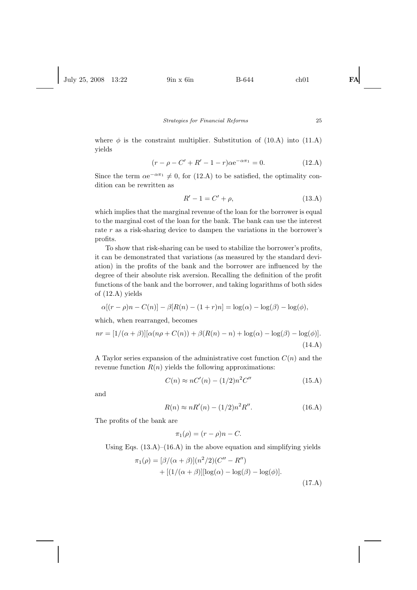where  $\phi$  is the constraint multiplier. Substitution of (10.A) into (11.A) yields

$$
(r - \rho - C' + R' - 1 - r)\alpha e^{-\alpha \pi_1} = 0.
$$
 (12.A)

Since the term  $\alpha e^{-\alpha \pi_1} \neq 0$ , for (12.A) to be satisfied, the optimality condition can be rewritten as

$$
R' - 1 = C' + \rho,
$$
 (13.A)

which implies that the marginal revenue of the loan for the borrower is equal to the marginal cost of the loan for the bank. The bank can use the interest rate r as a risk-sharing device to dampen the variations in the borrower's profits.

To show that risk-sharing can be used to stabilize the borrower's profits, it can be demonstrated that variations (as measured by the standard deviation) in the profits of the bank and the borrower are influenced by the degree of their absolute risk aversion. Recalling the definition of the profit functions of the bank and the borrower, and taking logarithms of both sides of (12.A) yields

$$
\alpha[(r - \rho)n - C(n)] - \beta[R(n) - (1 + r)n] = \log(\alpha) - \log(\beta) - \log(\phi),
$$

which, when rearranged, becomes

$$
nr = [1/(\alpha + \beta)][\alpha(n\rho + C(n)) + \beta(R(n) - n) + \log(\alpha) - \log(\beta) - \log(\phi)].
$$
\n(14.A)

A Taylor series expansion of the administrative cost function  $C(n)$  and the revenue function  $R(n)$  yields the following approximations:

$$
C(n) \approx nC'(n) - (1/2)n^2 C''
$$
 (15.A)

and

$$
R(n) \approx nR'(n) - (1/2)n^2 R''.
$$
 (16.A)

The profits of the bank are

$$
\pi_1(\rho) = (r - \rho)n - C.
$$

Using Eqs.  $(13.A)$ – $(16.A)$  in the above equation and simplifying yields

$$
\pi_1(\rho) = [\beta/(\alpha + \beta)](n^2/2)(C'' - R'')
$$
  
+ 
$$
[(1/(\alpha + \beta)][\log(\alpha) - \log(\beta) - \log(\phi)].
$$
  
(17.A)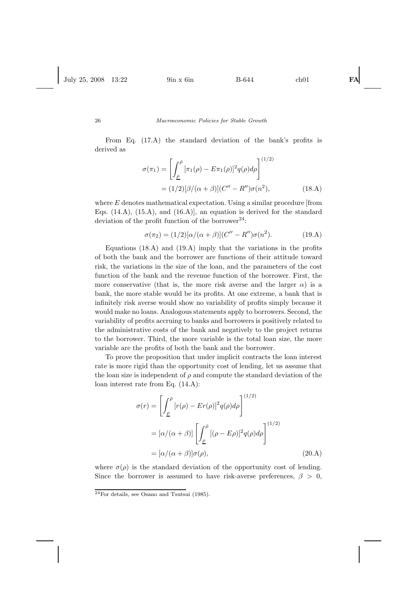From Eq. (17.A) the standard deviation of the bank's profits is derived as

$$
\sigma(\pi_1) = \left[ \int_{\underline{\rho}}^{\overline{\rho}} [\pi_1(\rho) - E\pi_1(\rho)]^2 q(\rho) d\rho \right]^{(1/2)}
$$
  
=  $(1/2)[\beta/(\alpha + \beta)](C'' - R'')\sigma(n^2),$  (18.A)

where  $E$  denotes mathematical expectation. Using a similar procedure [from Eqs.  $(14.A)$ ,  $(15.A)$ , and  $(16.A)$ , an equation is derived for the standard deviation of the profit function of the borrower<sup>24</sup>:

$$
\sigma(\pi_2) = (1/2)[\alpha/(\alpha + \beta)](C'' - R'')\sigma(n^2). \tag{19.A}
$$

Equations (18.A) and (19.A) imply that the variations in the profits of both the bank and the borrower are functions of their attitude toward risk, the variations in the size of the loan, and the parameters of the cost function of the bank and the revenue function of the borrower. First, the more conservative (that is, the more risk averse and the larger  $\alpha$ ) is a bank, the more stable would be its profits. At one extreme, a bank that is infinitely risk averse would show no variability of profits simply because it would make no loans. Analogous statements apply to borrowers. Second, the variability of profits accruing to banks and borrowers is positively related to the administrative costs of the bank and negatively to the project returns to the borrower. Third, the more variable is the total loan size, the more variable are the profits of both the bank and the borrower.

To prove the proposition that under implicit contracts the loan interest rate is more rigid than the opportunity cost of lending, let us assume that the loan size is independent of  $\rho$  and compute the standard deviation of the loan interest rate from Eq. (14.A):

$$
\sigma(r) = \left[ \int_{\underline{\rho}}^{\overline{\rho}} [r(\rho) - Er(\rho)]^2 q(\rho) d\rho \right]^{(1/2)}
$$
  

$$
= [\alpha/(\alpha + \beta)] \left[ \int_{\underline{\rho}}^{\overline{\rho}} [(\rho - E\rho)]^2 q(\rho) d\rho \right]^{(1/2)}
$$
  

$$
= [\alpha/(\alpha + \beta)] \sigma(\rho), \qquad (20.A)
$$

where  $\sigma(\rho)$  is the standard deviation of the opportunity cost of lending. Since the borrower is assumed to have risk-averse preferences,  $\beta > 0$ ,

<sup>24</sup>For details, see Osano and Tsutsui (1985).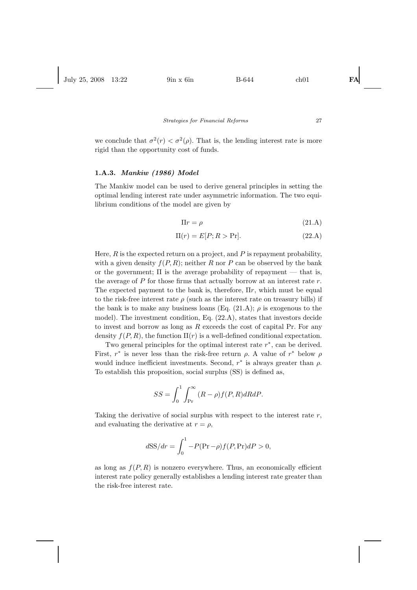we conclude that  $\sigma^2(r) < \sigma^2(\rho)$ . That is, the lending interest rate is more rigid than the opportunity cost of funds.

#### **1.A.3.** *Mankiw (1986) Model*

The Mankiw model can be used to derive general principles in setting the optimal lending interest rate under asymmetric information. The two equilibrium conditions of the model are given by

$$
\Pi r = \rho \tag{21.A}
$$

$$
\Pi(r) = E[P; R > \Pr].\tag{22.A}
$$

Here,  $R$  is the expected return on a project, and  $P$  is repayment probability, with a given density  $f(P, R)$ ; neither R nor P can be observed by the bank or the government;  $\Pi$  is the average probability of repayment — that is, the average of  $P$  for those firms that actually borrow at an interest rate  $r$ . The expected payment to the bank is, therefore,  $\Pi r$ , which must be equal to the risk-free interest rate  $\rho$  (such as the interest rate on treasury bills) if the bank is to make any business loans (Eq. (21.A);  $\rho$  is exogenous to the model). The investment condition, Eq. (22.A), states that investors decide to invest and borrow as long as  $R$  exceeds the cost of capital Pr. For any density  $f(P, R)$ , the function  $\Pi(r)$  is a well-defined conditional expectation.

Two general principles for the optimal interest rate  $r^*$ , can be derived. First,  $r^*$  is never less than the risk-free return  $\rho$ . A value of  $r^*$  below  $\rho$ would induce inefficient investments. Second,  $r^*$  is always greater than  $\rho$ . To establish this proposition, social surplus (SS) is defined as,

$$
SS = \int_0^1 \int_{\Pr}^{\infty} (R - \rho) f(P, R) dR dP.
$$

Taking the derivative of social surplus with respect to the interest rate  $r$ , and evaluating the derivative at  $r = \rho$ ,

$$
dSS/dr = \int_0^1 -P(\Pr - \rho)f(P, \Pr)dP > 0,
$$

as long as  $f(P, R)$  is nonzero everywhere. Thus, an economically efficient interest rate policy generally establishes a lending interest rate greater than the risk-free interest rate.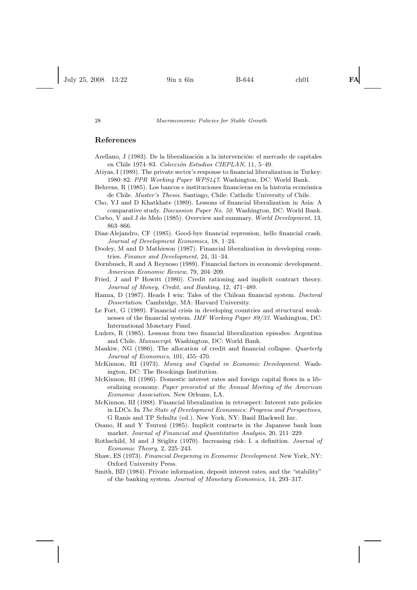# **References**

- Arellano, J (1983). De la liberalización a la intervención: el mercado de capitales en Chile 1974–83. *Colección Estudios CIEPLAN*, 11, 5–49.
- Atiyas, I (1989). The private sector's response to financial liberalization in Turkey: 1980–82. *PPR Working Paper WPS147*. Washington, DC: World Bank.
- Behrens, R (1985). Los bancos e instituciones financieras en la historia económica de Chile. *Master's Thesis*. Santiago, Chile: Catholic University of Chile.
- Cho, YJ and D Khatkhate (1989). Lessons of financial liberalization in Asia: A comparative study. *Discussion Paper No. 50*. Washington, DC: World Bank.
- Corbo, V and J de Melo (1985). Overview and summary. *World Development*, 13, 863–866.
- Diaz-Alejandro, CF (1985). Good-bye financial repression, hello financial crash. *Journal of Development Economics*, 18, 1–24.
- Dooley, M and D Mathieson (1987). Financial liberalization in developing countries. *Finance and Development*, 24, 31–34.
- Dornbusch, R and A Reynoso (1989). Financial factors in economic development. *American Economic Review*, 79, 204–209.
- Fried, J and P Howitt (1980). Credit rationing and implicit contract theory. *Journal of Money, Credit, and Banking*, 12, 471–489.
- Hanna, D (1987). Heads I win: Tales of the Chilean financial system. *Doctoral Dissertation*. Cambridge, MA: Harvard University.
- Le Fort, G (1989). Financial crisis in developing countries and structural weaknesses of the financial system. *IMF Working Paper 89/33*. Washington, DC: International Monetary Fund.
- Luders, R (1985). Lessons from two financial liberalization episodes: Argentina and Chile. *Manuscript*. Washington, DC: World Bank.
- Mankiw, NG (1986). The allocation of credit and financial collapse. *Quarterly Journal of Economics*, 101, 455–470.
- McKinnon, RI (1973). *Money and Capital in Economic Development*. Washington, DC: The Brookings Institution.
- McKinnon, RI (1986). Domestic interest rates and foreign capital flows in a liberalizing economy. *Paper presented at the Annual Meeting of the American Economic Association*. New Orleans, LA.
- McKinnon, RI (1988). Financial liberalization in retrospect: Interest rate policies in LDCs. In *The State of Development Economics: Progress and Perspectives*, G Ranis and TP Schultz (ed.). New York, NY: Basil Blackwell Inc.
- Osano, H and Y Tsutsui (1985). Implicit contracts in the Japanese bank loan market. *Journal of Financial and Quantitative Analysis*, 20, 211–229.
- Rothschild, M and J Stiglitz (1970). Increasing risk: I. a definition. *Journal of Economic Theory*, 2, 225–243.
- Shaw, ES (1973). *Financial Deepening in Economic Development*. New York, NY: Oxford University Press.
- Smith, BD (1984). Private information, deposit interest rates, and the "stability" of the banking system. *Journal of Monetary Economics*, 14, 293–317.